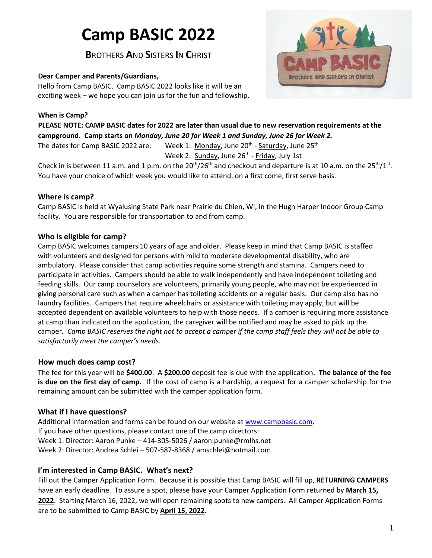# **Camp BASIC 2022**

**B**ROTHERS **A**ND **S**ISTERS **I**N **C**HRIST

# **Dear Camper and Parents/Guardians,**

Hello from Camp BASIC. Camp BASIC 2022 looks like it will be an exciting week – we hope you can join us for the fun and fellowship.

## **When is Camp?**



**PLEASE NOTE: CAMP BASIC dates for 2022 are later than usual due to new reservation requirements at the campground. Camp starts on** *Monday, June 20 for Week 1 and Sunday, June 26 for Week 2.*

The dates for Camp BASIC 2022 are: <sup>th</sup> - <u>Saturday</u>, June 25<sup>th</sup> Week 2: Sunday, June 26<sup>th</sup> - <u>Friday</u>, July 1st

Check in is between 11 a.m. and 1 p.m. on the 20<sup>th</sup>/26<sup>th</sup> and checkout and departure is at 10 a.m. on the 25<sup>th</sup>/1<sup>st</sup>. You have your choice of which week you would like to attend, on a first come, first serve basis.

# **Where is camp?**

Camp BASIC is held at Wyalusing State Park near Prairie du Chien, WI, in the Hugh Harper Indoor Group Camp facility. You are responsible for transportation to and from camp.

# **Who is eligible for camp?**

Camp BASIC welcomes campers 10 years of age and older. Please keep in mind that Camp BASIC is staffed with volunteers and designed for persons with mild to moderate developmental disability, who are ambulatory. Please consider that camp activities require some strength and stamina. Campers need to participate in activities. Campers should be able to walk independently and have independent toileting and feeding skills. Our camp counselors are volunteers, primarily young people, who may not be experienced in giving personal care such as when a camper has toileting accidents on a regular basis. Our camp also has no laundry facilities. Campers that require wheelchairs or assistance with toileting may apply, but will be accepted dependent on available volunteers to help with those needs. If a camper is requiring more assistance at camp than indicated on the application, the caregiver will be notified and may be asked to pick up the camper**.** *Camp BASIC reserves the right not to accept a camper if the camp staff feels they will not be able to satisfactorily meet the camper's needs.*

## **How much does camp cost?**

The fee for this year will be **\$400.00**. A **\$200.00** deposit fee is due with the application. **The balance of the fee is due on the first day of camp.** If the cost of camp is a hardship, a request for a camper scholarship for the remaining amount can be submitted with the camper application form.

# **What if I have questions?**

Additional information and forms can be found on our website a[t www.campbasic.com.](http://www.campbasic.com/) If you have other questions, please contact one of the camp directors: Week 1: Director: Aaron Punke – 414-305-5026 / aaron.punke@rmlhs.net Week 2: Director: Andrea Schlei – 507-587-8368 / amschlei@hotmail.com

# **I'm interested in Camp BASIC. What's next?**

Fill out the Camper Application Form. Because it is possible that Camp BASIC will fill up, **RETURNING CAMPERS** have an early deadline. To assure a spot, please have your Camper Application Form returned by **March 15, 2022**. Starting March 16, 2022, we will open remaining spots to new campers. All Camper Application Forms are to be submitted to Camp BASIC by **April 15, 2022**.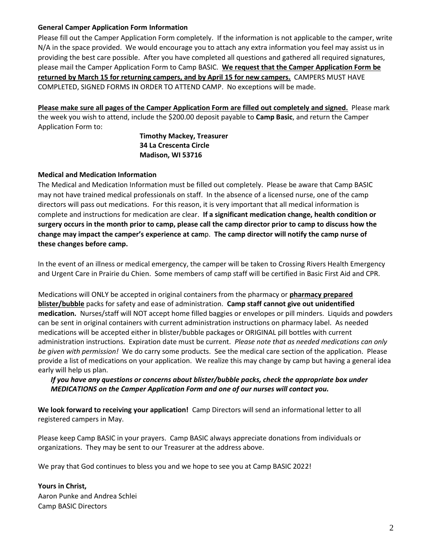#### **General Camper Application Form Information**

Please fill out the Camper Application Form completely. If the information is not applicable to the camper, write N/A in the space provided. We would encourage you to attach any extra information you feel may assist us in providing the best care possible. After you have completed all questions and gathered all required signatures, please mail the Camper Application Form to Camp BASIC. **We request that the Camper Application Form be returned by March 15 for returning campers, and by April 15 for new campers.** CAMPERS MUST HAVE COMPLETED, SIGNED FORMS IN ORDER TO ATTEND CAMP. No exceptions will be made.

**Please make sure all pages of the Camper Application Form are filled out completely and signed.** Please mark the week you wish to attend, include the \$200.00 deposit payable to **Camp Basic**, and return the Camper Application Form to:

> **Timothy Mackey, Treasurer 34 La Crescenta Circle Madison, WI 53716**

#### **Medical and Medication Information**

The Medical and Medication Information must be filled out completely. Please be aware that Camp BASIC may not have trained medical professionals on staff. In the absence of a licensed nurse, one of the camp directors will pass out medications. For this reason, it is very important that all medical information is complete and instructions for medication are clear. **If a significant medication change, health condition or surgery occurs in the month prior to camp, please call the camp director prior to camp to discuss how the change may impact the camper's experience at cam**p. **The camp director will notify the camp nurse of these changes before camp.**

In the event of an illness or medical emergency, the camper will be taken to Crossing Rivers Health Emergency and Urgent Care in Prairie du Chien. Some members of camp staff will be certified in Basic First Aid and CPR.

Medications will ONLY be accepted in original containers from the pharmacy or **pharmacy prepared blister/bubble** packs for safety and ease of administration. **Camp staff cannot give out unidentified medication.** Nurses/staff will NOT accept home filled baggies or envelopes or pill minders. Liquids and powders can be sent in original containers with current administration instructions on pharmacy label. As needed medications will be accepted either in blister/bubble packages or ORIGINAL pill bottles with current administration instructions. Expiration date must be current. *Please note that as needed medications can only be given with permission!* We do carry some products. See the medical care section of the application. Please provide a list of medications on your application. We realize this may change by camp but having a general idea early will help us plan.

*If you have any questions or concerns about blister/bubble packs, check the appropriate box under MEDICATIONS on the Camper Application Form and one of our nurses will contact you.*

**We look forward to receiving your application!** Camp Directors will send an informational letter to all registered campers in May.

Please keep Camp BASIC in your prayers. Camp BASIC always appreciate donations from individuals or organizations. They may be sent to our Treasurer at the address above.

We pray that God continues to bless you and we hope to see you at Camp BASIC 2022!

**Yours in Christ,** Aaron Punke and Andrea Schlei Camp BASIC Directors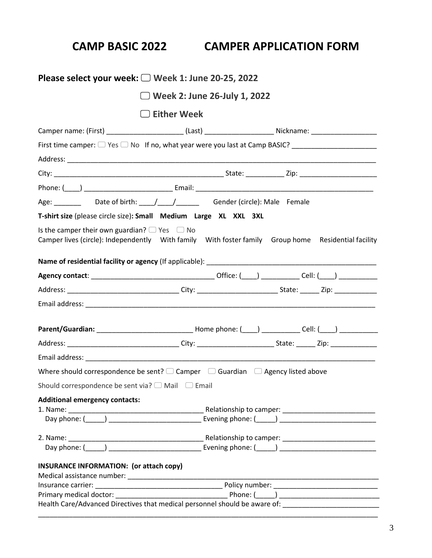# **CAMP BASIC 2022 CAMPER APPLICATION FORM**

| Please select your week: $\Box$ Week 1: June 20-25, 2022                                                                                                      |                    |  |  |
|---------------------------------------------------------------------------------------------------------------------------------------------------------------|--------------------|--|--|
| $\Box$ Week 2: June 26-July 1, 2022                                                                                                                           |                    |  |  |
|                                                                                                                                                               | $\Box$ Either Week |  |  |
| Camper name: (First) ________________________(Last) _______________________Nickname: _________________________                                                |                    |  |  |
|                                                                                                                                                               |                    |  |  |
|                                                                                                                                                               |                    |  |  |
|                                                                                                                                                               |                    |  |  |
|                                                                                                                                                               |                    |  |  |
| Age: ________ Date of birth: ____/ ____/ Gender (circle): Male Female                                                                                         |                    |  |  |
| T-shirt size (please circle size): Small Medium Large XL XXL 3XL                                                                                              |                    |  |  |
| Is the camper their own guardian? $\Box$ Yes $\Box$ No<br>Camper lives (circle): Independently With family With foster family Group home Residential facility |                    |  |  |
|                                                                                                                                                               |                    |  |  |
|                                                                                                                                                               |                    |  |  |
|                                                                                                                                                               |                    |  |  |
|                                                                                                                                                               |                    |  |  |
|                                                                                                                                                               |                    |  |  |
| Parent/Guardian: ___________________________________Home phone: (____) _____________Cell: (____) ____________                                                 |                    |  |  |
|                                                                                                                                                               |                    |  |  |
|                                                                                                                                                               |                    |  |  |
| Where should correspondence be sent? $\square$ Camper $\square$ Guardian $\square$ Agency listed above                                                        |                    |  |  |
| Should correspondence be sent via? $\Box$ Mail $\Box$ Email                                                                                                   |                    |  |  |
| <b>Additional emergency contacts:</b>                                                                                                                         |                    |  |  |
|                                                                                                                                                               |                    |  |  |
|                                                                                                                                                               |                    |  |  |
|                                                                                                                                                               |                    |  |  |
|                                                                                                                                                               |                    |  |  |
| <b>INSURANCE INFORMATION: (or attach copy)</b>                                                                                                                |                    |  |  |
|                                                                                                                                                               |                    |  |  |
|                                                                                                                                                               |                    |  |  |
| Health Care/Advanced Directives that medical personnel should be aware of:                                                                                    |                    |  |  |
|                                                                                                                                                               |                    |  |  |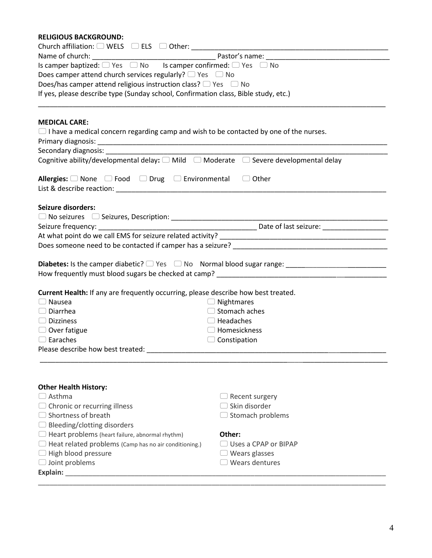### **RELIGIOUS BACKGROUND:**

| Does camper attend church services regularly? $\Box$ Yes $\Box$ No                            |                             |  |  |  |
|-----------------------------------------------------------------------------------------------|-----------------------------|--|--|--|
| Does/has camper attend religious instruction class? $\Box$ Yes $\Box$ No                      |                             |  |  |  |
| If yes, please describe type (Sunday school, Confirmation class, Bible study, etc.)           |                             |  |  |  |
|                                                                                               |                             |  |  |  |
| <b>MEDICAL CARE:</b>                                                                          |                             |  |  |  |
| $\Box$ I have a medical concern regarding camp and wish to be contacted by one of the nurses. |                             |  |  |  |
|                                                                                               |                             |  |  |  |
|                                                                                               |                             |  |  |  |
| Cognitive ability/developmental delay: □ Mild □ Moderate □ Severe developmental delay         |                             |  |  |  |
| <b>Allergies:</b> $\Box$ None $\Box$ Food $\Box$ Drug $\Box$ Environmental $\Box$ Other       |                             |  |  |  |
|                                                                                               |                             |  |  |  |
| <b>Seizure disorders:</b>                                                                     |                             |  |  |  |
|                                                                                               |                             |  |  |  |
|                                                                                               |                             |  |  |  |
|                                                                                               |                             |  |  |  |
|                                                                                               |                             |  |  |  |
|                                                                                               |                             |  |  |  |
|                                                                                               |                             |  |  |  |
|                                                                                               |                             |  |  |  |
|                                                                                               |                             |  |  |  |
| Current Health: If any are frequently occurring, please describe how best treated.            |                             |  |  |  |
| $\Box$ Nausea                                                                                 | $\Box$ Nightmares           |  |  |  |
| $\Box$ Diarrhea                                                                               | Stomach aches               |  |  |  |
| $\Box$ Dizziness                                                                              | $\Box$ Headaches            |  |  |  |
| $\Box$ Over fatigue                                                                           | $\Box$ Homesickness         |  |  |  |
| $\Box$ Earaches                                                                               | $\Box$ Constipation         |  |  |  |
|                                                                                               |                             |  |  |  |
|                                                                                               |                             |  |  |  |
| <b>Other Health History:</b>                                                                  |                             |  |  |  |
| $\Box$ Asthma                                                                                 | $\Box$ Recent surgery       |  |  |  |
| $\Box$ Chronic or recurring illness                                                           | $\Box$ Skin disorder        |  |  |  |
| $\Box$ Shortness of breath                                                                    | $\Box$ Stomach problems     |  |  |  |
| $\Box$ Bleeding/clotting disorders                                                            |                             |  |  |  |
| $\Box$ Heart problems (heart failure, abnormal rhythm)                                        | Other:                      |  |  |  |
| $\Box$ Heat related problems (Camp has no air conditioning.)                                  | $\Box$ Uses a CPAP or BIPAP |  |  |  |
| $\Box$ High blood pressure                                                                    | $\Box$ Wears glasses        |  |  |  |
| $\Box$ Joint problems                                                                         | $\Box$ Wears dentures       |  |  |  |
| Explain: Explain:                                                                             |                             |  |  |  |
|                                                                                               |                             |  |  |  |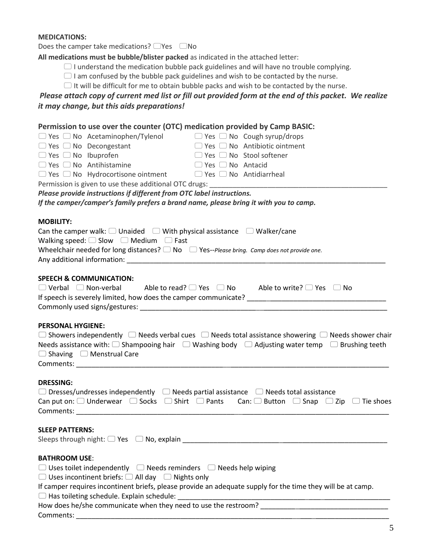#### **MEDICATIONS:**

Does the camper take medications?  $\Box$  Yes  $\Box$  No

**All medications must be bubble/blister packed** as indicated in the attached letter:

 $\Box$  I understand the medication bubble pack guidelines and will have no trouble complying.

 $\Box$  I am confused by the bubble pack guidelines and wish to be contacted by the nurse.

 $\Box$  It will be difficult for me to obtain bubble packs and wish to be contacted by the nurse.

## *Please attach copy of current med list or fill out provided form at the end of this packet. We realize it may change, but this aids preparations!*

# **Permission to use over the counter (OTC) medication provided by Camp BASIC:**

|                                    | $\Box$ Yes $\Box$ No Acetaminophen/Tylenol $\Box$ Yes $\Box$ No Cough syrup/drops                    |                                     |                                                                                                                                |
|------------------------------------|------------------------------------------------------------------------------------------------------|-------------------------------------|--------------------------------------------------------------------------------------------------------------------------------|
| $\Box$ Yes $\Box$ No Decongestant  |                                                                                                      |                                     | $\Box$ Yes $\Box$ No Antibiotic ointment                                                                                       |
| $\Box$ Yes $\Box$ No Ibuprofen     |                                                                                                      | $\Box$ Yes $\Box$ No Stool softener |                                                                                                                                |
| $\Box$ Yes $\Box$ No Antihistamine |                                                                                                      | $\Box$ Yes $\Box$ No Antacid        |                                                                                                                                |
|                                    | $\Box$ Yes $\Box$ No Hydrocortisone ointment $\Box$ Yes $\Box$ No Antidiarrheal                      |                                     |                                                                                                                                |
|                                    |                                                                                                      |                                     |                                                                                                                                |
|                                    | Please provide instructions if different from OTC label instructions.                                |                                     |                                                                                                                                |
|                                    | If the camper/camper's family prefers a brand name, please bring it with you to camp.                |                                     |                                                                                                                                |
| <b>MOBILITY:</b>                   |                                                                                                      |                                     |                                                                                                                                |
|                                    | Can the camper walk: $\Box$ Unaided $\Box$ With physical assistance $\Box$ Walker/cane               |                                     |                                                                                                                                |
|                                    | Walking speed: $\Box$ Slow $\Box$ Medium $\Box$ Fast                                                 |                                     |                                                                                                                                |
|                                    | Wheelchair needed for long distances? $\Box$ No $\Box$ Yes--Please bring. Camp does not provide one. |                                     |                                                                                                                                |
|                                    |                                                                                                      |                                     |                                                                                                                                |
|                                    |                                                                                                      |                                     |                                                                                                                                |
| <b>SPEECH &amp; COMMUNICATION:</b> |                                                                                                      |                                     |                                                                                                                                |
|                                    |                                                                                                      |                                     | $\Box$ Verbal $\Box$ Non-verbal Able to read? $\Box$ Yes $\Box$ No Able to write? $\Box$ Yes $\Box$ No                         |
|                                    |                                                                                                      |                                     |                                                                                                                                |
|                                    |                                                                                                      |                                     |                                                                                                                                |
| <b>PERSONAL HYGIENE:</b>           |                                                                                                      |                                     |                                                                                                                                |
|                                    |                                                                                                      |                                     | $\Box$ Showers independently $\Box$ Needs verbal cues $\Box$ Needs total assistance showering $\Box$ Needs shower chair        |
|                                    |                                                                                                      |                                     | Needs assistance with: $\Box$ Shampooing hair $\Box$ Washing body $\Box$ Adjusting water temp $\Box$ Brushing teeth            |
|                                    | $\Box$ Shaving $\Box$ Menstrual Care                                                                 |                                     |                                                                                                                                |
|                                    |                                                                                                      |                                     |                                                                                                                                |
|                                    |                                                                                                      |                                     |                                                                                                                                |
| <b>DRESSING:</b>                   |                                                                                                      |                                     |                                                                                                                                |
|                                    | $\Box$ Dresses/undresses independently $\Box$ Needs partial assistance $\Box$ Needs total assistance |                                     |                                                                                                                                |
|                                    |                                                                                                      |                                     | Can put on: $\Box$ Underwear $\Box$ Socks $\Box$ Shirt $\Box$ Pants Can: $\Box$ Button $\Box$ Snap $\Box$ Zip $\Box$ Tie shoes |
|                                    |                                                                                                      |                                     |                                                                                                                                |
| <b>SLEEP PATTERNS:</b>             |                                                                                                      |                                     |                                                                                                                                |
|                                    | Sleeps through night: $\Box$ Yes $\Box$ No, explain                                                  |                                     |                                                                                                                                |
|                                    |                                                                                                      |                                     |                                                                                                                                |
| <b>BATHROOM USE:</b>               |                                                                                                      |                                     |                                                                                                                                |
|                                    | $\Box$ Uses toilet independently $\Box$ Needs reminders $\Box$ Needs help wiping                     |                                     |                                                                                                                                |
|                                    | $\Box$ Uses incontinent briefs: $\Box$ All day $\Box$ Nights only                                    |                                     |                                                                                                                                |
|                                    |                                                                                                      |                                     | If camper requires incontinent briefs, please provide an adequate supply for the time they will be at camp.                    |
|                                    | $\Box$ Has toileting schedule. Explain schedule:                                                     |                                     |                                                                                                                                |
|                                    |                                                                                                      |                                     | How does he/she communicate when they need to use the restroom?                                                                |
| Comments:                          |                                                                                                      |                                     |                                                                                                                                |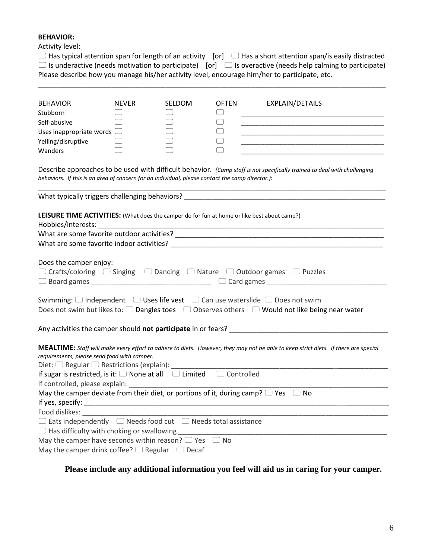# **BEHAVIOR:**

Activity level:

| $\Box$ Has typical attention span for length of an activity [or] $\Box$ Has a short attention span/is easily distracted |  |
|-------------------------------------------------------------------------------------------------------------------------|--|
| $\Box$ Is underactive (needs motivation to participate) [or] $\Box$ Is overactive (needs help calming to participate)   |  |
| Please describe how you manage his/her activity level, encourage him/her to participate, etc.                           |  |

\_\_\_\_\_\_\_\_\_\_\_\_\_\_\_\_\_\_\_\_\_\_\_\_\_\_\_\_\_\_\_\_\_\_\_\_\_\_\_\_\_\_\_\_\_\_\_\_\_\_\_\_\_\_\_\_\_\_\_\_\_\_\_\_\_\_\_\_\_\_\_\_\_\_\_\_\_\_\_\_\_\_\_\_\_\_\_\_\_\_

| <b>BEHAVIOR</b>                                                                                                                                                                    | <b>NEVER</b>                                   | SELDOM                                 | <b>OFTEN</b>                     | EXPLAIN/DETAILS                                                                                                          |
|------------------------------------------------------------------------------------------------------------------------------------------------------------------------------------|------------------------------------------------|----------------------------------------|----------------------------------|--------------------------------------------------------------------------------------------------------------------------|
| Stubborn                                                                                                                                                                           | $\Box$                                         |                                        | $\begin{array}{ccc} \end{array}$ |                                                                                                                          |
| Self-abusive                                                                                                                                                                       | $\Box$                                         | $\begin{pmatrix} 1 \\ 1 \end{pmatrix}$ | □                                | <u> 1989 - Johann John Stein, markin fan it ferskearre fan it ferskearre fan it ferskearre fan it ferskearre fan </u>    |
| Uses inappropriate words $\Box$                                                                                                                                                    |                                                |                                        | $(\ )$                           |                                                                                                                          |
| Yelling/disruptive                                                                                                                                                                 | $\begin{pmatrix} 1 & 1 \\ 1 & 1 \end{pmatrix}$ |                                        |                                  |                                                                                                                          |
| Wanders                                                                                                                                                                            |                                                |                                        |                                  |                                                                                                                          |
| behaviors. If this is an area of concern for an individual, please contact the camp director.):                                                                                    |                                                |                                        |                                  | Describe approaches to be used with difficult behavior. (Camp staff is not specifically trained to deal with challenging |
|                                                                                                                                                                                    |                                                |                                        |                                  |                                                                                                                          |
| LEISURE TIME ACTIVITIES: (What does the camper do for fun at home or like best about camp?)                                                                                        |                                                |                                        |                                  |                                                                                                                          |
| Hobbies/interests:                                                                                                                                                                 |                                                |                                        |                                  |                                                                                                                          |
|                                                                                                                                                                                    |                                                |                                        |                                  |                                                                                                                          |
|                                                                                                                                                                                    |                                                |                                        |                                  |                                                                                                                          |
|                                                                                                                                                                                    |                                                |                                        |                                  |                                                                                                                          |
| Does the camper enjoy:                                                                                                                                                             |                                                |                                        |                                  |                                                                                                                          |
| $\Box$ Crafts/coloring $\Box$ Singing $\Box$ Dancing $\Box$ Nature $\Box$ Outdoor games $\Box$ Puzzles                                                                             |                                                |                                        |                                  |                                                                                                                          |
|                                                                                                                                                                                    |                                                |                                        |                                  |                                                                                                                          |
|                                                                                                                                                                                    |                                                |                                        |                                  |                                                                                                                          |
| Swimming: $\Box$ Independent $\Box$ Uses life vest $\Box$ Can use waterslide $\Box$ Does not swim                                                                                  |                                                |                                        |                                  |                                                                                                                          |
|                                                                                                                                                                                    |                                                |                                        |                                  | Does not swim but likes to: $\Box$ Dangles toes $\Box$ Observes others $\Box$ Would not like being near water            |
|                                                                                                                                                                                    |                                                |                                        |                                  | Any activities the camper should not participate in or fears?                                                            |
|                                                                                                                                                                                    |                                                |                                        |                                  |                                                                                                                          |
| MEALTIME: Staff will make every effort to adhere to diets. However, they may not be able to keep strict diets. If there are special<br>requirements, please send food with camper. |                                                |                                        |                                  |                                                                                                                          |
|                                                                                                                                                                                    |                                                |                                        |                                  |                                                                                                                          |
| If sugar is restricted, is it: $\Box$ None at all $\Box$ Limited $\Box$ Controlled                                                                                                 |                                                |                                        |                                  |                                                                                                                          |
| If controlled, please explain:                                                                                                                                                     |                                                |                                        |                                  |                                                                                                                          |
| May the camper deviate from their diet, or portions of it, during camp? $\Box$ Yes $\Box$ No                                                                                       |                                                |                                        |                                  |                                                                                                                          |
| If yes, specify:                                                                                                                                                                   |                                                |                                        |                                  |                                                                                                                          |
| Food dislikes: North Management                                                                                                                                                    |                                                |                                        |                                  |                                                                                                                          |
| $\Box$ Eats independently $\Box$ Needs food cut $\Box$ Needs total assistance                                                                                                      |                                                |                                        |                                  |                                                                                                                          |
|                                                                                                                                                                                    |                                                |                                        |                                  |                                                                                                                          |
| May the camper have seconds within reason? $\Box$ Yes $\Box$ No                                                                                                                    |                                                |                                        |                                  |                                                                                                                          |
| May the camper drink coffee? $\Box$ Regular $\Box$ Decaf                                                                                                                           |                                                |                                        |                                  |                                                                                                                          |

**Please include any additional information you feel will aid us in caring for your camper.**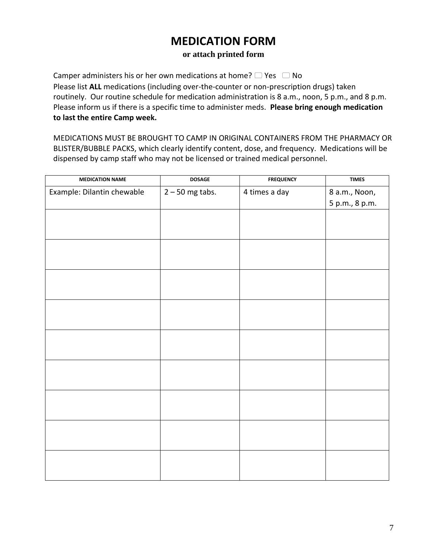# **MEDICATION FORM**

## **or attach printed form**

Camper administers his or her own medications at home?  $\Box$  Yes  $\Box$  No Please list **ALL** medications (including over-the-counter or non-prescription drugs) taken routinely. Our routine schedule for medication administration is 8 a.m., noon, 5 p.m., and 8 p.m. Please inform us if there is a specific time to administer meds. **Please bring enough medication to last the entire Camp week.**

MEDICATIONS MUST BE BROUGHT TO CAMP IN ORIGINAL CONTAINERS FROM THE PHARMACY OR BLISTER/BUBBLE PACKS, which clearly identify content, dose, and frequency. Medications will be dispensed by camp staff who may not be licensed or trained medical personnel.

| <b>MEDICATION NAME</b>     | <b>DOSAGE</b>     | <b>FREQUENCY</b> | <b>TIMES</b>   |
|----------------------------|-------------------|------------------|----------------|
| Example: Dilantin chewable | $2 - 50$ mg tabs. | 4 times a day    | 8 a.m., Noon,  |
|                            |                   |                  | 5 p.m., 8 p.m. |
|                            |                   |                  |                |
|                            |                   |                  |                |
|                            |                   |                  |                |
|                            |                   |                  |                |
|                            |                   |                  |                |
|                            |                   |                  |                |
|                            |                   |                  |                |
|                            |                   |                  |                |
|                            |                   |                  |                |
|                            |                   |                  |                |
|                            |                   |                  |                |
|                            |                   |                  |                |
|                            |                   |                  |                |
|                            |                   |                  |                |
|                            |                   |                  |                |
|                            |                   |                  |                |
|                            |                   |                  |                |
|                            |                   |                  |                |
|                            |                   |                  |                |
|                            |                   |                  |                |
|                            |                   |                  |                |
|                            |                   |                  |                |
|                            |                   |                  |                |
|                            |                   |                  |                |